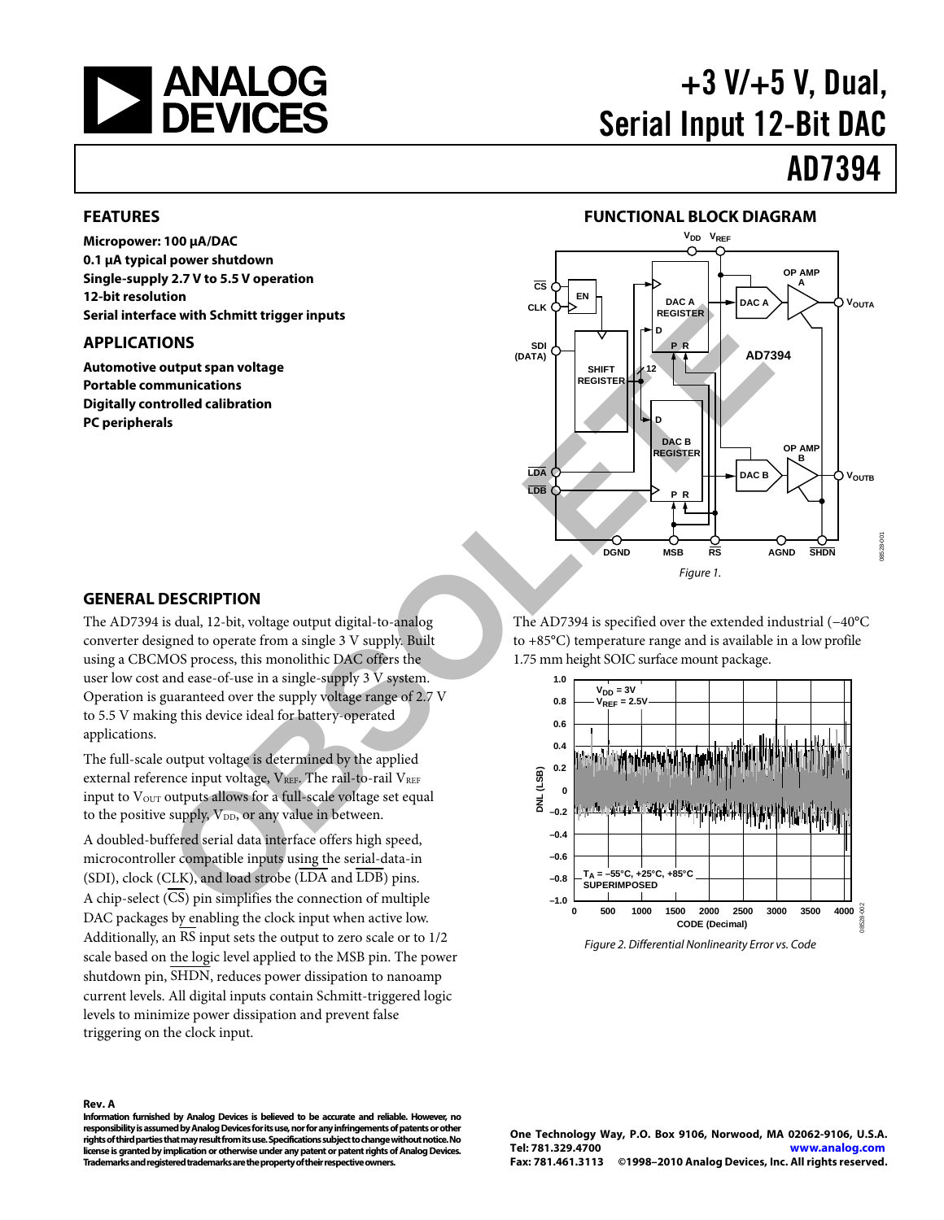<span id="page-0-0"></span>

# +3 V/+5 V, Dual, Serial Input 12-Bit DAC

# AD7394

#### **FEATURES**

**Micropower: 100 μA/DAC 0.1 μA typical power shutdown Single-supply 2.7 V to 5.5 V operation 12-bit resolution Serial interface with Schmitt trigger inputs** 

#### **APPLICATIONS**

**Automotive output span voltage Portable communications Digitally controlled calibration PC peripherals** 



#### **GENERAL DESCRIPTION**

The AD7394 is dual, 12-bit, voltage output digital-to-analog converter designed to operate from a single 3 V supply. Built using a CBCMOS process, this monolithic DAC offers the user low cost and ease-of-use in a single-supply 3 V system. Operation is guaranteed over the supply voltage range of 2.7 V to 5.5 V making this device ideal for battery-operated applications.

The full-scale output voltage is determined by the applied external reference input voltage,  $V_{REF}$ . The rail-to-rail  $V_{REF}$ input to Vour outputs allows for a full-scale voltage set equal to the positive supply,  $V_{DD}$ , or any value in between.

A doubled-buffered serial data interface offers high speed, microcontroller compatible inputs using the serial-data-in (SDI), clock (CLK), and load strobe (LDA and LDB) pins. A chip-select (CS) pin simplifies the connection of multiple DAC packages by enabling the clock input when active low. Additionally, an RS input sets the output to zero scale or to 1/2 scale based on the logic level applied to the MSB pin. The power shutdown pin, SHDN, reduces power dissipation to nanoamp current levels. All digital inputs contain Schmitt-triggered logic levels to minimize power dissipation and prevent false triggering on the clock input.

The AD7394 is specified over the extended industrial (−40°C to +85°C) temperature range and is available in a low profile 1.75 mm height SOIC surface mount package.



Figure 2. Differential Nonlinearity Error vs. Code

#### **Rev. A**

**Information furnished by Analog Devices is believed to be accurate and reliable. However, no responsibility is assumed by Analog Devices for its use, nor for any infringements of patents or other rights of third parties that may result from its use. Specifications subject to change without notice. No license is granted by implication or otherwise under any patent or patent rights of Analog Devices. Trademarks and registered trademarks are the property of their respective owners.**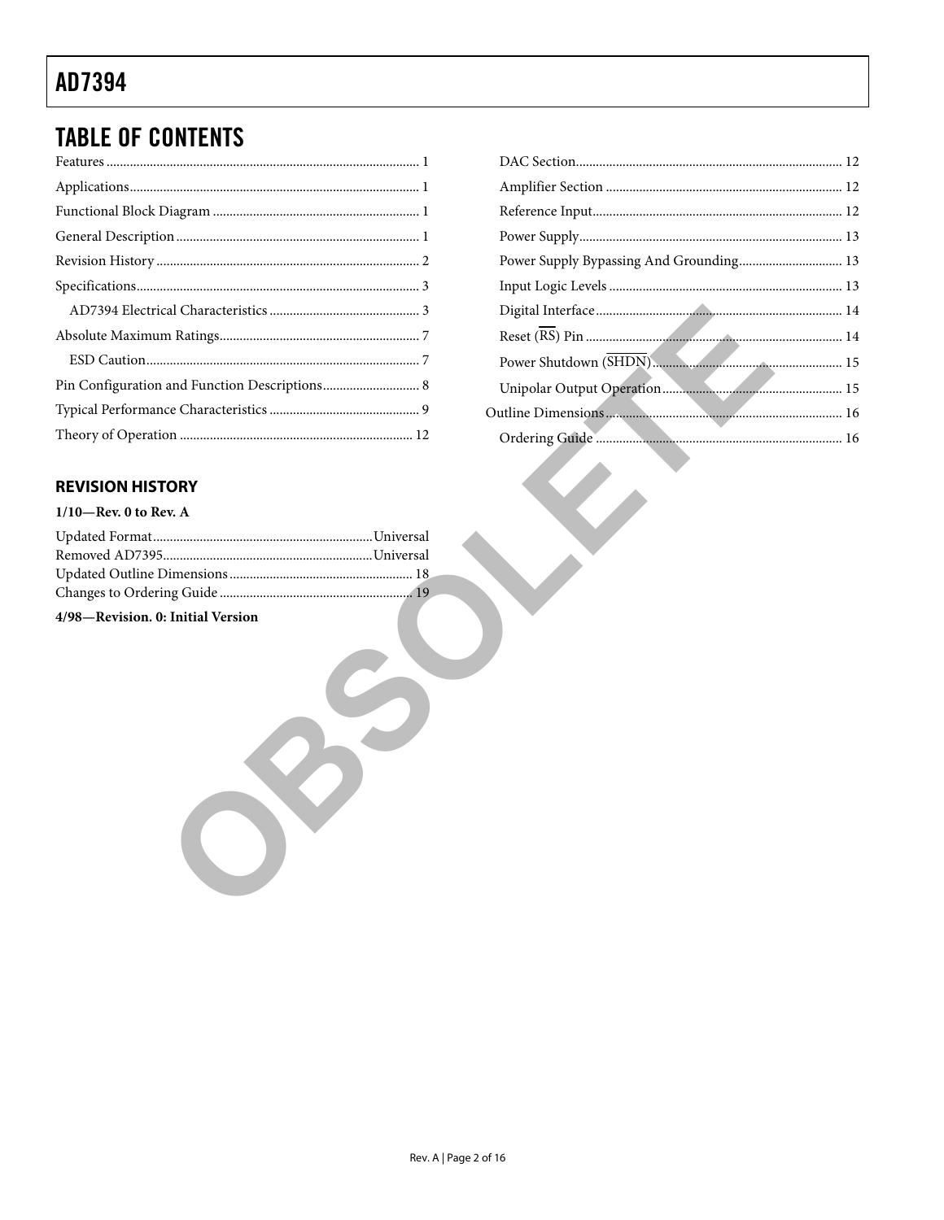# **TABLE OF CONTENTS**

| Pin Configuration and Function Descriptions 8 |
|-----------------------------------------------|
|                                               |
|                                               |

### Power Supply Bypassing And Grounding................................ 13 Power Shutdown (SHDN)

### **REVISION HISTORY**

#### $1/10$ -Rev. 0 to Rev. A

| 4/98-Revision. 0: Initial Version |  |
|-----------------------------------|--|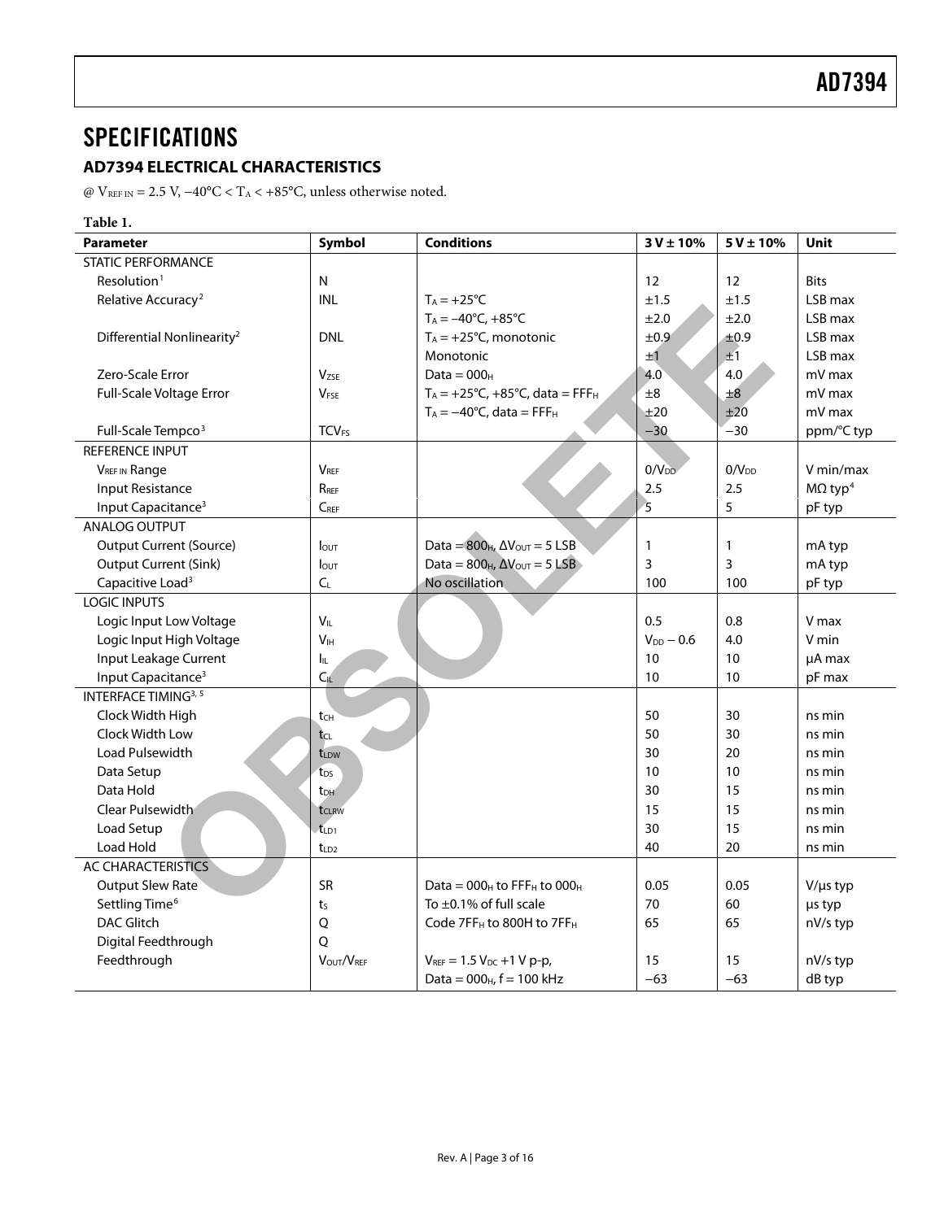# <span id="page-2-1"></span><span id="page-2-0"></span>**SPECIFICATIONS**

### **AD7394 ELECTRICAL CHARACTERISTICS**

@ V $_{\rm{REF\,IN}}$  = 2.5 V, −40°C < T $_{\rm{A}}$  < +85°C, unless otherwise noted.

| Table 1.                               |                         |                                                   |                |                   |                            |
|----------------------------------------|-------------------------|---------------------------------------------------|----------------|-------------------|----------------------------|
| <b>Parameter</b>                       | Symbol                  | <b>Conditions</b>                                 | $3 V \pm 10%$  | $5V \pm 10%$      | <b>Unit</b>                |
| <b>STATIC PERFORMANCE</b>              |                         |                                                   |                |                   |                            |
| Resolution <sup>1</sup>                | N                       |                                                   | 12             | 12                | <b>Bits</b>                |
| Relative Accuracy <sup>2</sup>         | <b>INL</b>              | $T_A = +25$ °C                                    | ±1.5           | ±1.5              | LSB max                    |
|                                        |                         | $T_A = -40^{\circ}C, +85^{\circ}C$                | ±2.0           | ±2.0              | LSB max                    |
| Differential Nonlinearity <sup>2</sup> | <b>DNL</b>              | $T_A = +25$ °C, monotonic                         | ±0.9           | ±0.9              | LSB max                    |
|                                        |                         | Monotonic                                         | ±1             | ±1                | LSB max                    |
| Zero-Scale Error                       | V <sub>7SF</sub>        | $Data = 000H$                                     | 4.0            | 4.0               | mV max                     |
| Full-Scale Voltage Error               | V <sub>FSE</sub>        | $T_A = +25^{\circ}C, +85^{\circ}C, data = FFFH$   | ±8             | ±8                | mV max                     |
|                                        |                         | $T_A = -40$ °C, data = FFF <sub>H</sub>           | ±20            | ±20               | mV max                     |
| Full-Scale Tempco <sup>3</sup>         | <b>TCV<sub>FS</sub></b> |                                                   | $-30$          | $-30$             | ppm/°C typ                 |
| REFERENCE INPUT                        |                         |                                                   |                |                   |                            |
| <b>VREF IN Range</b>                   | <b>VRFF</b>             |                                                   | $0/V_{DD}$     | 0/V <sub>DD</sub> | V min/max                  |
| <b>Input Resistance</b>                | R <sub>RFF</sub>        |                                                   | 2.5            | 2.5               | $M\Omega$ typ <sup>4</sup> |
| Input Capacitance <sup>3</sup>         | $C_{REF}$               |                                                   | $\overline{5}$ | 5                 | pF typ                     |
| ANALOG OUTPUT                          |                         |                                                   |                |                   |                            |
| Output Current (Source)                | $I_{\text{OUT}}$        | Data = $800_H$ , $\Delta V_{\text{OUT}} = 5$ LSB  | $\mathbf{1}$   | $\mathbf{1}$      | mA typ                     |
| <b>Output Current (Sink)</b>           | $I_{\text{OUT}}$        | Data = $800_H$ , $\Delta V_{\text{OUT}} = 5$ LSB  | 3              | 3                 | mA typ                     |
| Capacitive Load <sup>3</sup>           | $C_L$                   | No oscillation                                    | 100            | 100               | pF typ                     |
| <b>LOGIC INPUTS</b>                    |                         |                                                   |                |                   |                            |
| Logic Input Low Voltage                | $V_{IL}$                |                                                   | 0.5            | 0.8               | V max                      |
| Logic Input High Voltage               | V <sub>H</sub>          |                                                   | $V_{DD} - 0.6$ | 4.0               | V min                      |
| Input Leakage Current                  | Ιı                      |                                                   | 10             | 10                | µA max                     |
| Input Capacitance <sup>3</sup>         | $C_{IL}$                |                                                   | 10             | 10                | pF max                     |
| INTERFACE TIMING <sup>3, 5</sup>       |                         |                                                   |                |                   |                            |
| Clock Width High                       | tcH                     |                                                   | 50             | 30                | ns min                     |
| Clock Width Low                        | tcL                     |                                                   | 50             | 30                | ns min                     |
| Load Pulsewidth                        | tLDW                    |                                                   | 30             | 20                | ns min                     |
| Data Setup                             | t <sub>DS</sub>         |                                                   | 10             | 10                | ns min                     |
| Data Hold                              | t <sub>DH</sub>         |                                                   | 30             | 15                | ns min                     |
| Clear Pulsewidth                       | t <sub>CLRW</sub>       |                                                   | 15             | 15                | ns min                     |
| Load Setup                             | tLD1                    |                                                   | 30             | 15                | ns min                     |
| Load Hold                              | $t_{LD2}$               |                                                   | 40             | 20                | ns min                     |
| <b>AC CHARACTERISTICS</b>              |                         |                                                   |                |                   |                            |
| <b>Output Slew Rate</b>                | <b>SR</b>               | Data = $000_H$ to FFF <sub>H</sub> to $000_H$     | 0.05           | 0.05              | $V/\mu s$ typ              |
| Settling Time <sup>6</sup>             | $t_{S}$                 | To $\pm$ 0.1% of full scale                       | 70             | 60                | us typ                     |
| <b>DAC Glitch</b>                      | Q                       | Code 7FF <sub>H</sub> to 800H to 7FF <sub>H</sub> | 65             | 65                | nV/s typ                   |
| Digital Feedthrough                    | O                       |                                                   |                |                   |                            |
| Feedthrough                            | VOUT/VREE               | $V_{REF} = 1.5 V_{DC} + 1 V p-p$ ,                | 15             | 15                | nV/s typ                   |
|                                        |                         | Data = $000_H$ , f = 100 kHz                      | $-63$          | $-63$             | dB typ                     |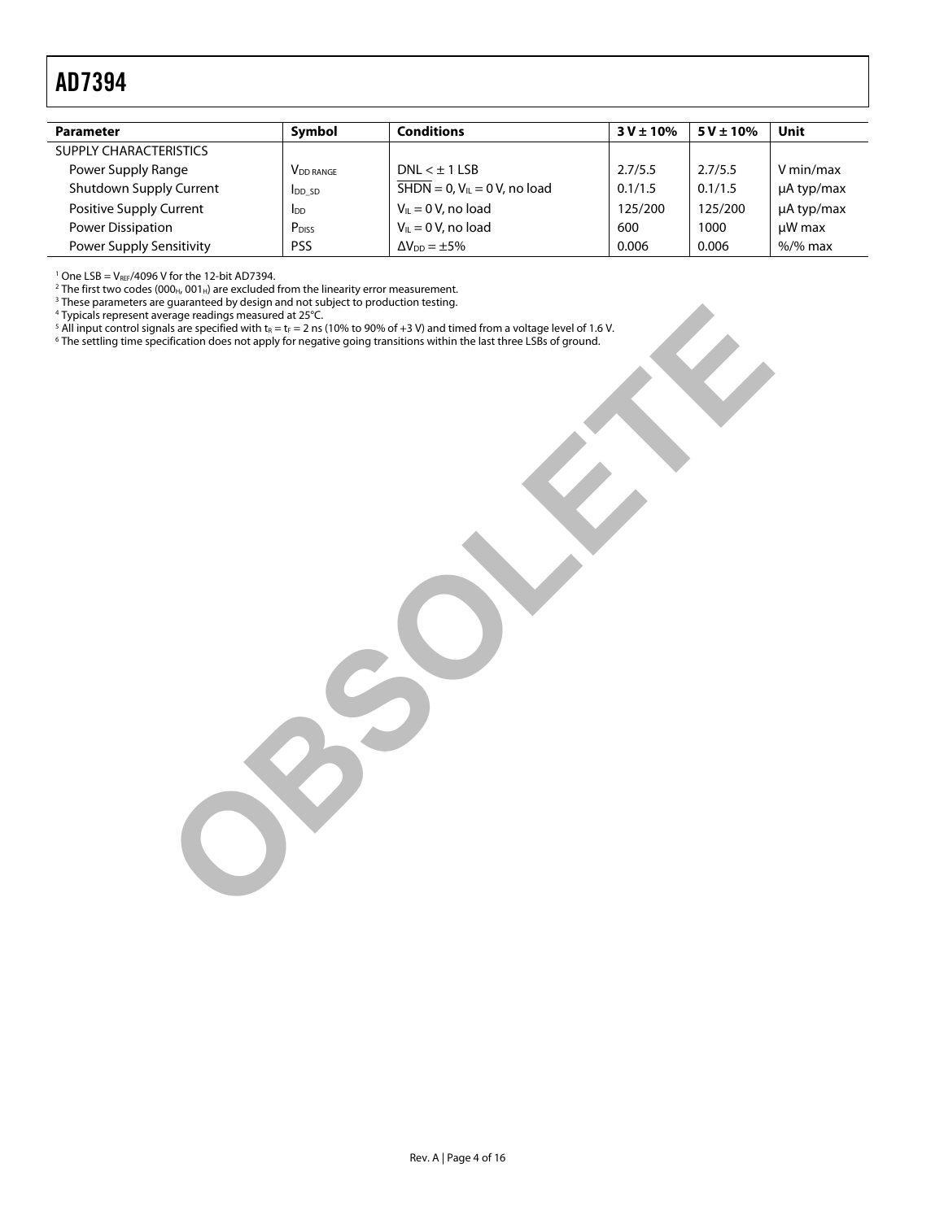<span id="page-3-0"></span>

| <b>Parameter</b>              | Symbol                       | <b>Conditions</b>                                      | $3 V \pm 10%$ | $5V \pm 10\%$ | Unit            |
|-------------------------------|------------------------------|--------------------------------------------------------|---------------|---------------|-----------------|
| <b>SUPPLY CHARACTERISTICS</b> |                              |                                                        |               |               |                 |
| Power Supply Range            | <b>V</b> <sub>DD</sub> RANGE | $DNI < +115B$                                          | 2.7/5.5       | 2.7/5.5       | V min/max       |
| Shutdown Supply Current       | <b>I</b> DD SD               | $\overline{\text{SHDN}} = 0$ , $V_{IL} = 0$ V, no load | 0.1/1.5       | 0.1/1.5       | $\mu$ A typ/max |
| Positive Supply Current       | IDD                          | $V_{IL} = 0 V$ , no load                               | 125/200       | 125/200       | $\mu$ A typ/max |
| Power Dissipation             | P <sub>DISS</sub>            | $V_{IL} = 0 V$ , no load                               | 600           | 1000          | $\mu$ W max     |
| Power Supply Sensitivity      | <b>PSS</b>                   | $\Delta V_{DD} = \pm 5\%$                              | 0.006         | 0.006         | $%$ /% max      |

<sup>1</sup> One LSB = V<sub>REF</sub>/4096 V for the 12-bit AD7394.<br><sup>2</sup> The first two codes (000 - 001 -) are excluded :

 $^2$ The first two codes (000<sub>H</sub>, 001<sub>H</sub>) are excluded from the linearity error measurement.<br><sup>3</sup> These parameters are guaranteed by design and not subject to production testing.<br><sup>4</sup> Typicals represent average readings meas

- 
- <sup>5</sup> All input control signals are specified with t<sub>R</sub> = t<sub>F</sub> = 2 ns (10% to 90% of +3 V) and timed from a voltage level of 1.6 V.<br><sup>6</sup> The settling time specification does not apply for negative going transitions within the **Control of the control of the control of the control of the control of the control of the control of the control of the control of the control of the control of the control of the control of the control of the control of**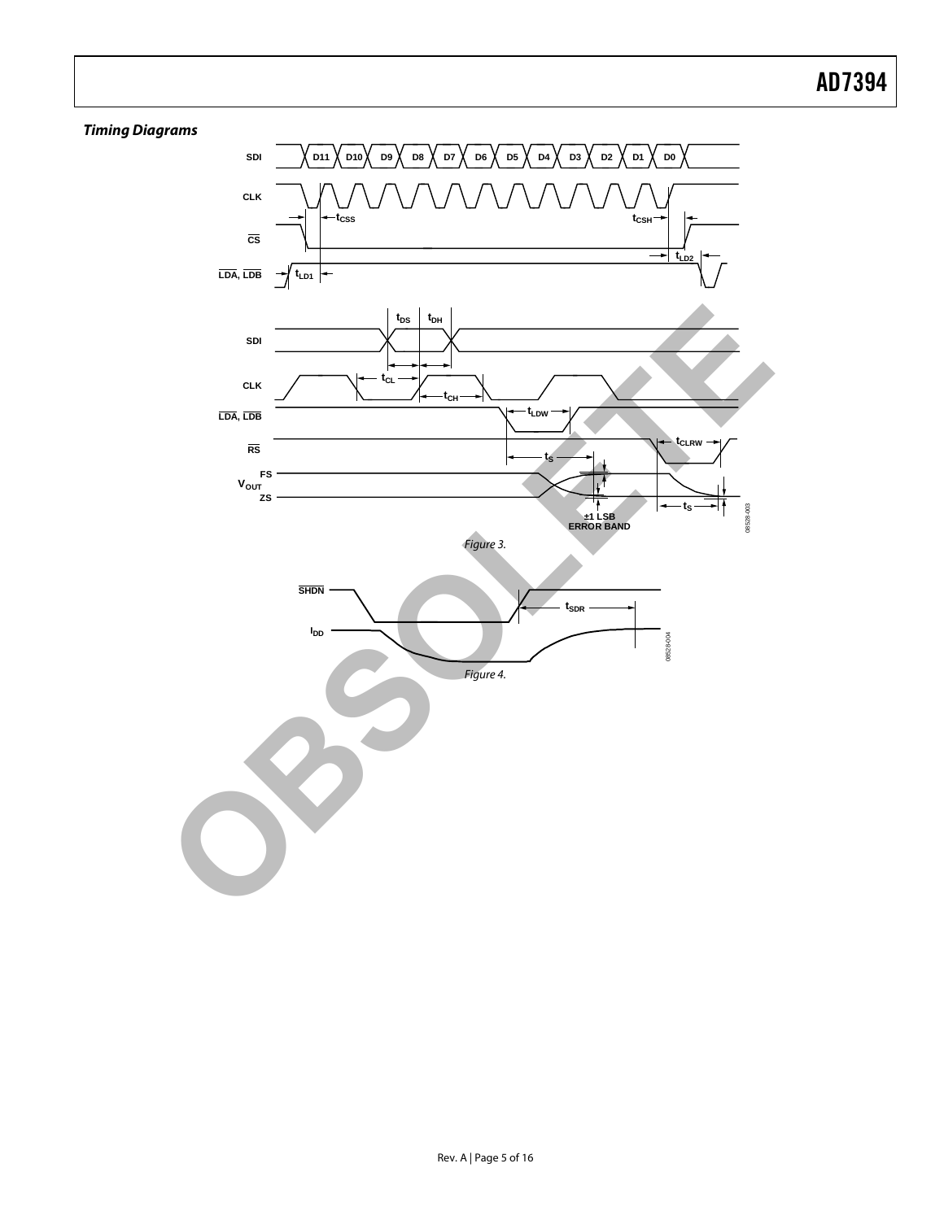### **Timing Diagrams**

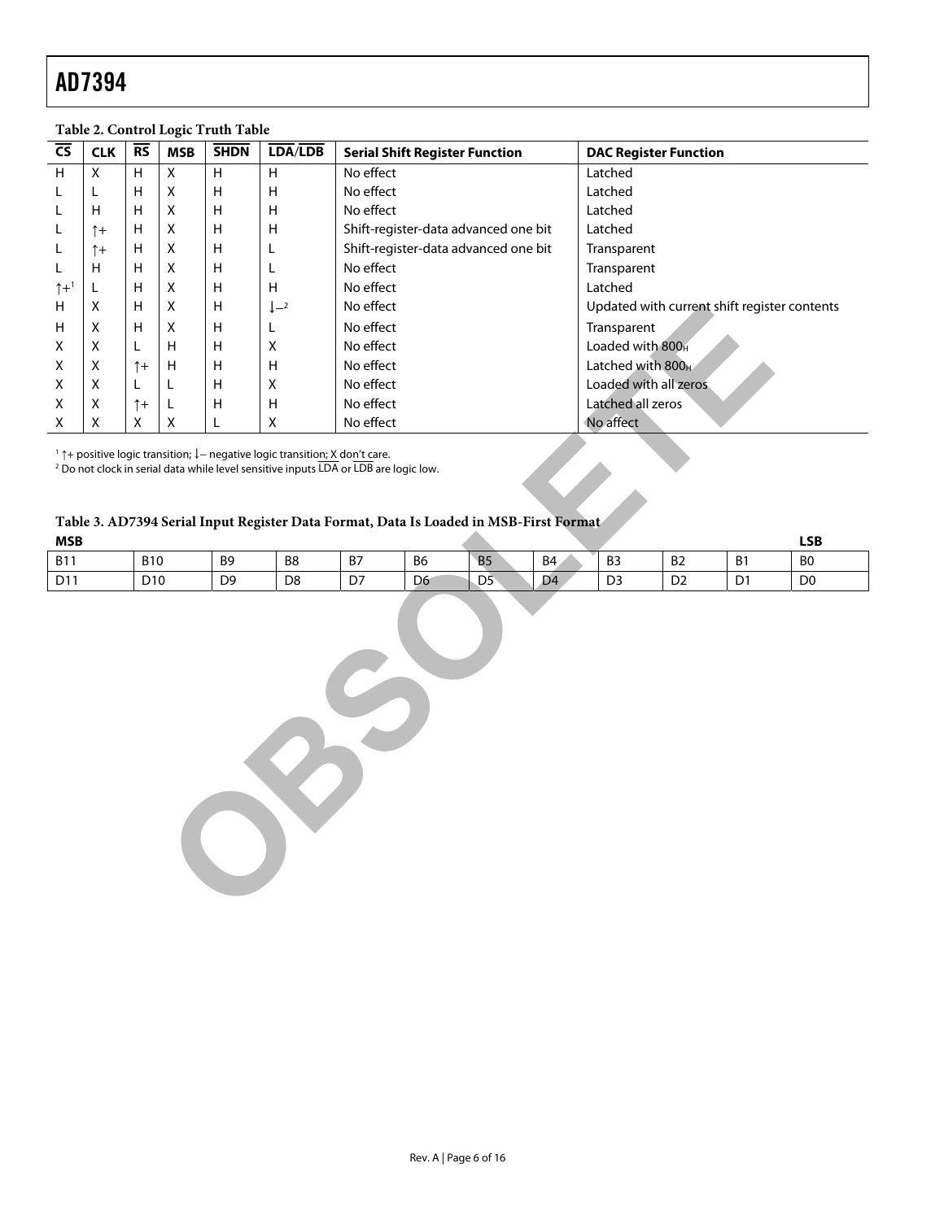| <b>CLK</b>                                                                                                                                                                                                                                                                                                                                                                                    | $\overline{\text{RS}}$ | <b>MSB</b>               | <b>SHDN</b> |                           | <b>Serial Shift Register Function</b> |                                                                                                              |  |  |                                                                              |  |                                                                                         |                                                                                                                                       |                                                                              |  |
|-----------------------------------------------------------------------------------------------------------------------------------------------------------------------------------------------------------------------------------------------------------------------------------------------------------------------------------------------------------------------------------------------|------------------------|--------------------------|-------------|---------------------------|---------------------------------------|--------------------------------------------------------------------------------------------------------------|--|--|------------------------------------------------------------------------------|--|-----------------------------------------------------------------------------------------|---------------------------------------------------------------------------------------------------------------------------------------|------------------------------------------------------------------------------|--|
| X                                                                                                                                                                                                                                                                                                                                                                                             | H                      | Χ                        | н           | н                         | No effect                             |                                                                                                              |  |  | Latched                                                                      |  |                                                                                         |                                                                                                                                       |                                                                              |  |
| L                                                                                                                                                                                                                                                                                                                                                                                             | $\sf H$                | $\mathsf X$              | $\sf H$     | $\boldsymbol{\mathsf{H}}$ | No effect                             |                                                                                                              |  |  | Latched                                                                      |  |                                                                                         |                                                                                                                                       |                                                                              |  |
| H                                                                                                                                                                                                                                                                                                                                                                                             | Н                      | $\pmb{\times}$           | Η           | н                         | No effect                             |                                                                                                              |  |  |                                                                              |  |                                                                                         |                                                                                                                                       |                                                                              |  |
| $\uparrow$                                                                                                                                                                                                                                                                                                                                                                                    | Н                      | Χ                        | н           | н                         |                                       |                                                                                                              |  |  |                                                                              |  |                                                                                         |                                                                                                                                       |                                                                              |  |
| $\uparrow +$                                                                                                                                                                                                                                                                                                                                                                                  | $\mathsf{H}$           | Χ                        | Η           | L                         |                                       |                                                                                                              |  |  |                                                                              |  |                                                                                         |                                                                                                                                       |                                                                              |  |
| H                                                                                                                                                                                                                                                                                                                                                                                             | Н                      | Χ                        | Η           | L                         | No effect                             |                                                                                                              |  |  |                                                                              |  |                                                                                         |                                                                                                                                       |                                                                              |  |
| L                                                                                                                                                                                                                                                                                                                                                                                             | Н                      | Χ                        | н           | $\mathsf H$               | No effect                             |                                                                                                              |  |  |                                                                              |  |                                                                                         |                                                                                                                                       |                                                                              |  |
| X                                                                                                                                                                                                                                                                                                                                                                                             | $\sf H$                | X                        | $\sf H$     | $\downarrow -2$           | No effect                             |                                                                                                              |  |  |                                                                              |  |                                                                                         |                                                                                                                                       |                                                                              |  |
| X                                                                                                                                                                                                                                                                                                                                                                                             | Н                      | Χ                        | $\sf H$     | L                         | No effect                             |                                                                                                              |  |  |                                                                              |  |                                                                                         |                                                                                                                                       |                                                                              |  |
| Χ                                                                                                                                                                                                                                                                                                                                                                                             | L                      | н                        | н           | X                         | No effect                             |                                                                                                              |  |  |                                                                              |  |                                                                                         |                                                                                                                                       |                                                                              |  |
| Χ                                                                                                                                                                                                                                                                                                                                                                                             |                        | Н                        | Н           | H                         | No effect                             |                                                                                                              |  |  |                                                                              |  |                                                                                         |                                                                                                                                       |                                                                              |  |
| X                                                                                                                                                                                                                                                                                                                                                                                             | L                      | L                        | Η           | $\mathsf X$               | No effect                             |                                                                                                              |  |  |                                                                              |  |                                                                                         |                                                                                                                                       |                                                                              |  |
| Χ                                                                                                                                                                                                                                                                                                                                                                                             |                        | L                        | H           | H                         | No effect                             |                                                                                                              |  |  |                                                                              |  |                                                                                         |                                                                                                                                       |                                                                              |  |
| $\mathsf X$                                                                                                                                                                                                                                                                                                                                                                                   | $\mathsf X$            | $\mathsf X$              | L           | $\mathsf X$               | No effect                             |                                                                                                              |  |  |                                                                              |  |                                                                                         |                                                                                                                                       |                                                                              |  |
| <sup>2</sup> Do not clock in serial data while level sensitive inputs LDA or LDB are logic low.<br>Table 3. AD7394 Serial Input Register Data Format, Data Is Loaded in MSB-First Format                                                                                                                                                                                                      |                        |                          |             |                           |                                       |                                                                                                              |  |  |                                                                              |  |                                                                                         |                                                                                                                                       |                                                                              |  |
|                                                                                                                                                                                                                                                                                                                                                                                               |                        |                          |             |                           |                                       |                                                                                                              |  |  |                                                                              |  |                                                                                         |                                                                                                                                       |                                                                              |  |
|                                                                                                                                                                                                                                                                                                                                                                                               |                        |                          |             |                           |                                       |                                                                                                              |  |  |                                                                              |  |                                                                                         |                                                                                                                                       |                                                                              |  |
| <b>MSB</b><br><b>LSB</b><br><b>B10</b><br><b>B7</b><br>B <sub>6</sub><br><b>B5</b><br>B <sub>4</sub><br>B <sub>3</sub><br>B <sub>2</sub><br><b>B1</b><br>B <sub>0</sub><br><b>B11</b><br>B9<br>B8<br>D <sub>9</sub><br>D <sub>5</sub><br>D <sub>4</sub><br>D11<br>D <sub>10</sub><br>D <sub>8</sub><br>D7<br>D <sub>6</sub><br>D <sub>3</sub><br>D <sub>2</sub><br>D1<br>D <sub>0</sub><br>85 |                        |                          |             |                           |                                       |                                                                                                              |  |  |                                                                              |  |                                                                                         |                                                                                                                                       |                                                                              |  |
|                                                                                                                                                                                                                                                                                                                                                                                               |                        | $\uparrow$<br>$\uparrow$ |             |                           | LDA/LDB                               | <sup>1</sup> $\uparrow$ + positive logic transition; $\downarrow$ – negative logic transition; X don't care. |  |  | Shift-register-data advanced one bit<br>Shift-register-data advanced one bit |  | Latched<br>Latched<br>Transparent<br>Transparent<br>Latched<br>Transparent<br>No affect | Table 2. Control Logic Truth Table<br>Loaded with 800H<br>Latched with 800 <sub>H</sub><br>Loaded with all zeros<br>Latched all zeros | <b>DAC Register Function</b><br>Updated with current shift register contents |  |

### <span id="page-5-0"></span>**Table 2. Control Logic Truth Table**

### **Table 3. AD7394 Serial Input Register Data Format, Data Is Loaded in MSB-First Format**

| <b>MSB</b>      |                 |                |                |    |                |                |                |                |                |                             | LSB            |
|-----------------|-----------------|----------------|----------------|----|----------------|----------------|----------------|----------------|----------------|-----------------------------|----------------|
| <b>B11</b>      | <b>B10</b>      | B9             | B8             | B7 | B6             | <b>B5</b>      | B4             | B <sub>3</sub> | B <sub>2</sub> | D <sub>1</sub><br><b>DI</b> | B <sub>0</sub> |
| D <sub>11</sub> | D <sub>10</sub> | D <sub>9</sub> | D <sub>8</sub> | D7 | D <sub>6</sub> | D <sub>5</sub> | D <sub>4</sub> | D <sub>3</sub> | D2             | $\mathsf{D}$<br>וש          | D <sub>0</sub> |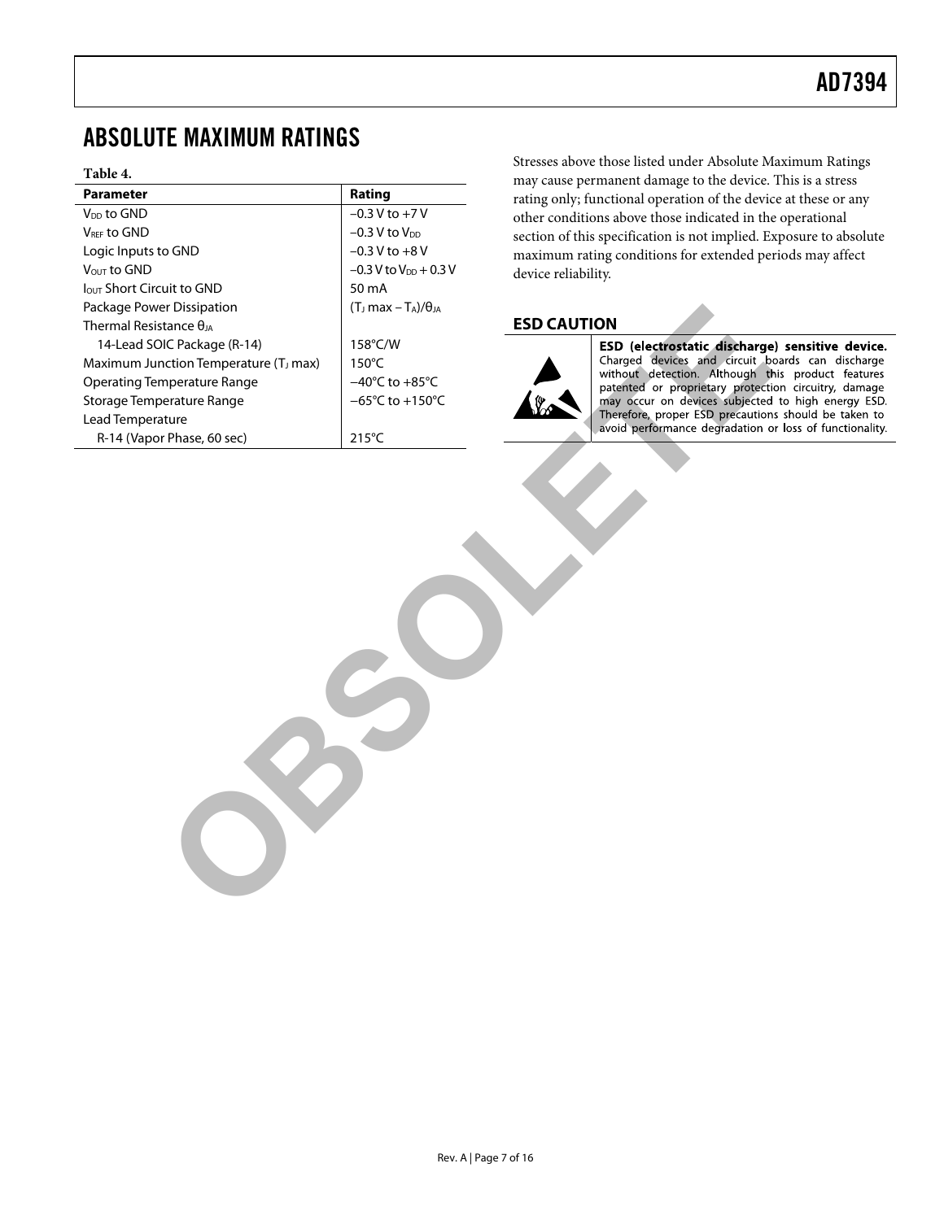# <span id="page-6-1"></span><span id="page-6-0"></span>ABSOLUTE MAXIMUM RATINGS

#### **Table 4.**

|                                       | may cause permanent damage to the device.                            |
|---------------------------------------|----------------------------------------------------------------------|
| Rating                                | rating only; functional operation of the devic                       |
| $-0.3 V$ to $+7 V$                    | other conditions above those indicated in the                        |
| $-0.3$ V to $V_{DD}$                  | section of this specification is not implied. Ex                     |
| $-0.3$ V to $+8$ V                    | maximum rating conditions for extended per                           |
| $-0.3 V$ to $V_{DD} + 0.3 V$          | device reliability.                                                  |
| 50 mA                                 |                                                                      |
| $(T_J \text{ max} - T_A)/\theta_{JA}$ |                                                                      |
|                                       | <b>ESD CAUTION</b>                                                   |
| 158°C/W                               | ESD (electrostatic discharge                                         |
| $150^{\circ}$ C                       | Charged devices and circuit bo                                       |
| $-40^{\circ}$ C to $+85^{\circ}$ C    | without detection. Although th<br>patented or proprietary protection |
| $-65^{\circ}$ C to +150 $^{\circ}$ C  | may occur on devices subjected                                       |
|                                       | Therefore, proper ESD precaution                                     |
| $215^{\circ}$ C                       | avoid performance degradation o                                      |
|                                       |                                                                      |
|                                       |                                                                      |

Stresses above those listed under Absolute Maximum Ratings may cause permanent damage to the device. This is a stress rating only; functional operation of the device at these or any other conditions above those indicated in the operational section of this specification is not implied. Exposure to absolute maximum rating conditions for extended periods may affect device reliability.

### **ESD CAUTION**

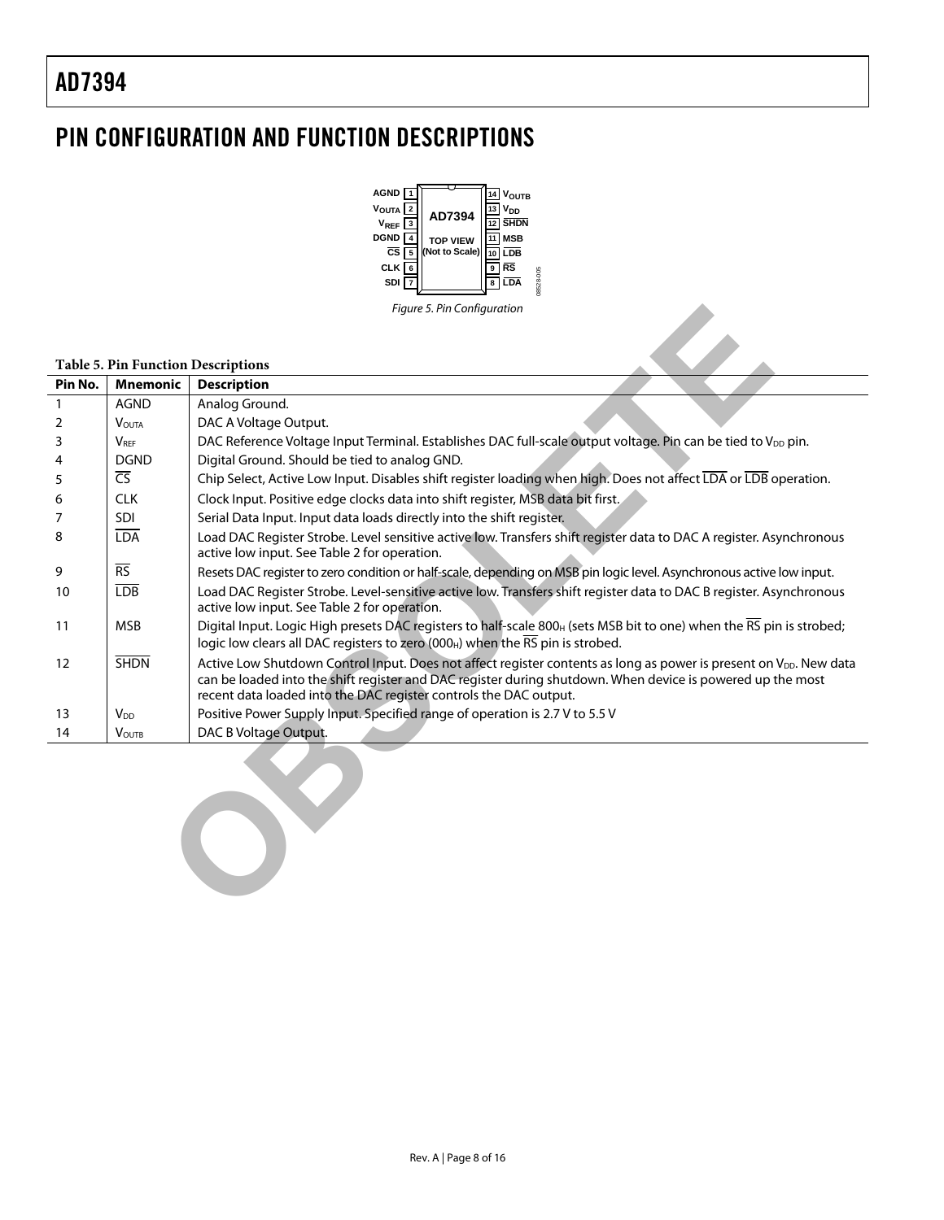# <span id="page-7-0"></span>PIN CONFIGURATION AND FUNCTION DESCRIPTIONS



#### **Table 5. Pin Function Descriptions**

|                                                                                               |                          | Figure 5. Pin Configuration                                                                                                                                                                                                                                                                                       |  |  |  |  |  |  |  |  |  |
|-----------------------------------------------------------------------------------------------|--------------------------|-------------------------------------------------------------------------------------------------------------------------------------------------------------------------------------------------------------------------------------------------------------------------------------------------------------------|--|--|--|--|--|--|--|--|--|
|                                                                                               |                          |                                                                                                                                                                                                                                                                                                                   |  |  |  |  |  |  |  |  |  |
|                                                                                               |                          |                                                                                                                                                                                                                                                                                                                   |  |  |  |  |  |  |  |  |  |
| <b>Table 5. Pin Function Descriptions</b><br><b>Mnemonic</b><br>Pin No.<br><b>Description</b> |                          |                                                                                                                                                                                                                                                                                                                   |  |  |  |  |  |  |  |  |  |
| $\mathbf{1}$                                                                                  | <b>AGND</b>              | Analog Ground.                                                                                                                                                                                                                                                                                                    |  |  |  |  |  |  |  |  |  |
| 2                                                                                             | <b>VOUTA</b>             | DAC A Voltage Output.                                                                                                                                                                                                                                                                                             |  |  |  |  |  |  |  |  |  |
| 3                                                                                             | <b>VRFF</b>              | DAC Reference Voltage Input Terminal. Establishes DAC full-scale output voltage. Pin can be tied to V <sub>DD</sub> pin.                                                                                                                                                                                          |  |  |  |  |  |  |  |  |  |
| 4                                                                                             | <b>DGND</b>              | Digital Ground. Should be tied to analog GND.                                                                                                                                                                                                                                                                     |  |  |  |  |  |  |  |  |  |
| 5                                                                                             | $\overline{\mathsf{CS}}$ | Chip Select, Active Low Input. Disables shift register loading when high. Does not affect LDA or LDB operation.                                                                                                                                                                                                   |  |  |  |  |  |  |  |  |  |
| 6                                                                                             | <b>CLK</b>               | Clock Input. Positive edge clocks data into shift register, MSB data bit first.                                                                                                                                                                                                                                   |  |  |  |  |  |  |  |  |  |
| 7                                                                                             | <b>SDI</b>               | Serial Data Input. Input data loads directly into the shift register.                                                                                                                                                                                                                                             |  |  |  |  |  |  |  |  |  |
| 8                                                                                             | <b>LDA</b>               | Load DAC Register Strobe. Level sensitive active low. Transfers shift register data to DAC A register. Asynchronous<br>active low input. See Table 2 for operation.                                                                                                                                               |  |  |  |  |  |  |  |  |  |
| 9                                                                                             | $\overline{\text{RS}}$   | Resets DAC register to zero condition or half-scale, depending on MSB pin logic level. Asynchronous active low input.                                                                                                                                                                                             |  |  |  |  |  |  |  |  |  |
| 10                                                                                            | <b>LDB</b>               | Load DAC Register Strobe. Level-sensitive active low. Transfers shift register data to DAC B register. Asynchronous<br>active low input. See Table 2 for operation.                                                                                                                                               |  |  |  |  |  |  |  |  |  |
| 11                                                                                            | <b>MSB</b>               | Digital Input. Logic High presets DAC registers to half-scale 800 <sub>H</sub> (sets MSB bit to one) when the RS pin is strobed;<br>logic low clears all DAC registers to zero (000 <sub>H</sub> ) when the RS pin is strobed.                                                                                    |  |  |  |  |  |  |  |  |  |
| 12                                                                                            | <b>SHDN</b>              | Active Low Shutdown Control Input. Does not affect register contents as long as power is present on V <sub>DD</sub> . New data<br>can be loaded into the shift register and DAC register during shutdown. When device is powered up the most<br>recent data loaded into the DAC register controls the DAC output. |  |  |  |  |  |  |  |  |  |
| 13                                                                                            | V <sub>DD</sub>          | Positive Power Supply Input. Specified range of operation is 2.7 V to 5.5 V                                                                                                                                                                                                                                       |  |  |  |  |  |  |  |  |  |
| 14                                                                                            | <b>VOUTB</b>             | DAC B Voltage Output.                                                                                                                                                                                                                                                                                             |  |  |  |  |  |  |  |  |  |
|                                                                                               |                          |                                                                                                                                                                                                                                                                                                                   |  |  |  |  |  |  |  |  |  |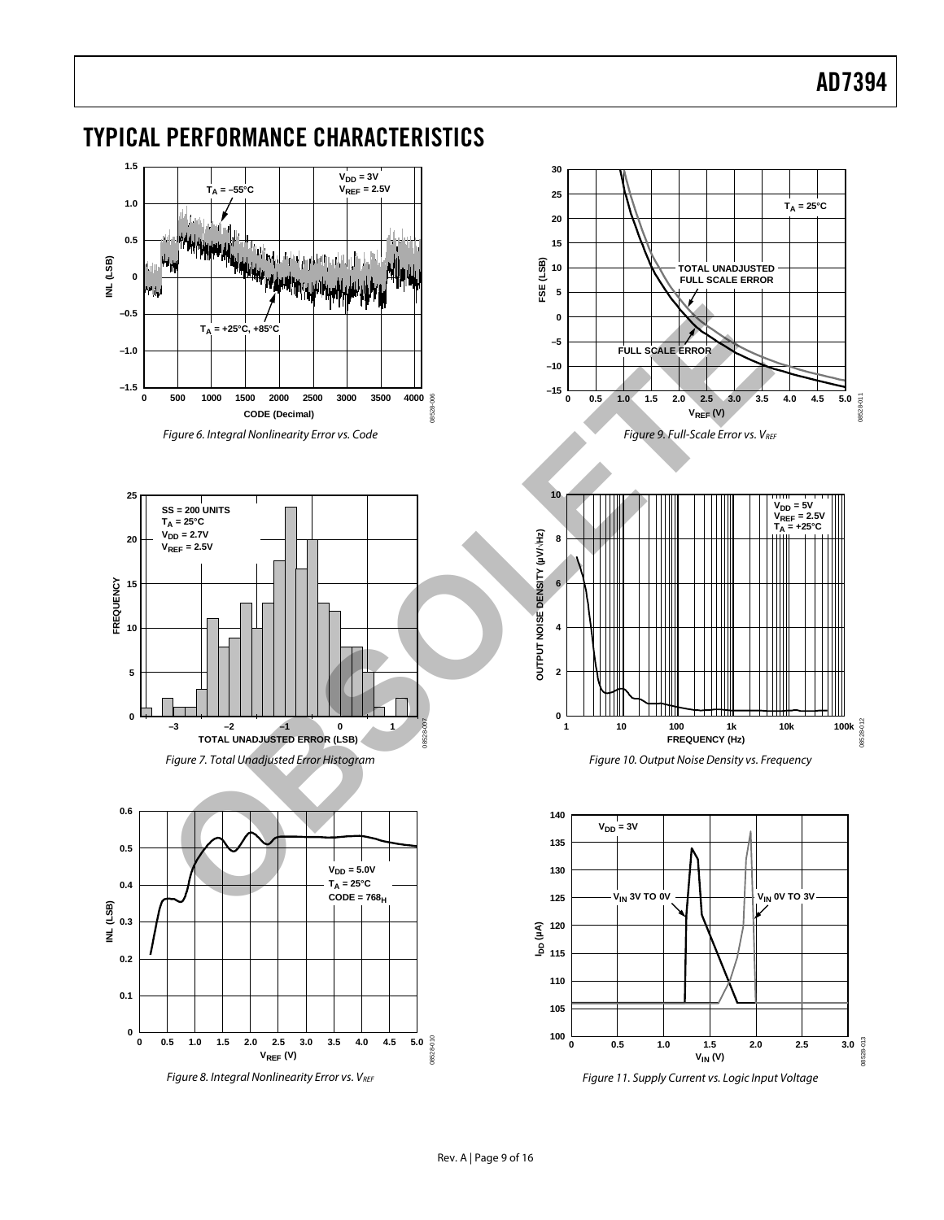<span id="page-8-2"></span><span id="page-8-1"></span>

# <span id="page-8-0"></span>TYPICAL PERFORMANCE CHARACTERISTICS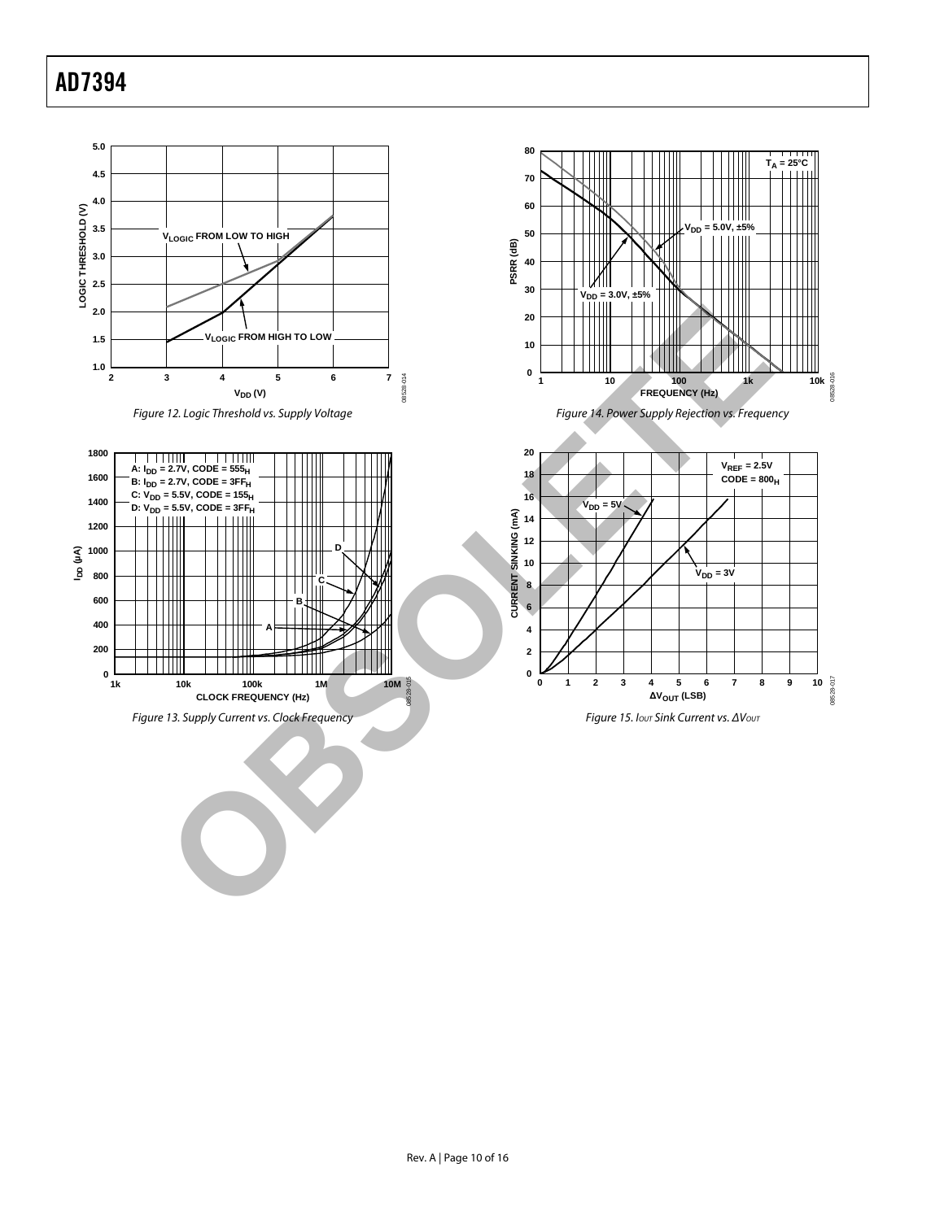<span id="page-9-0"></span>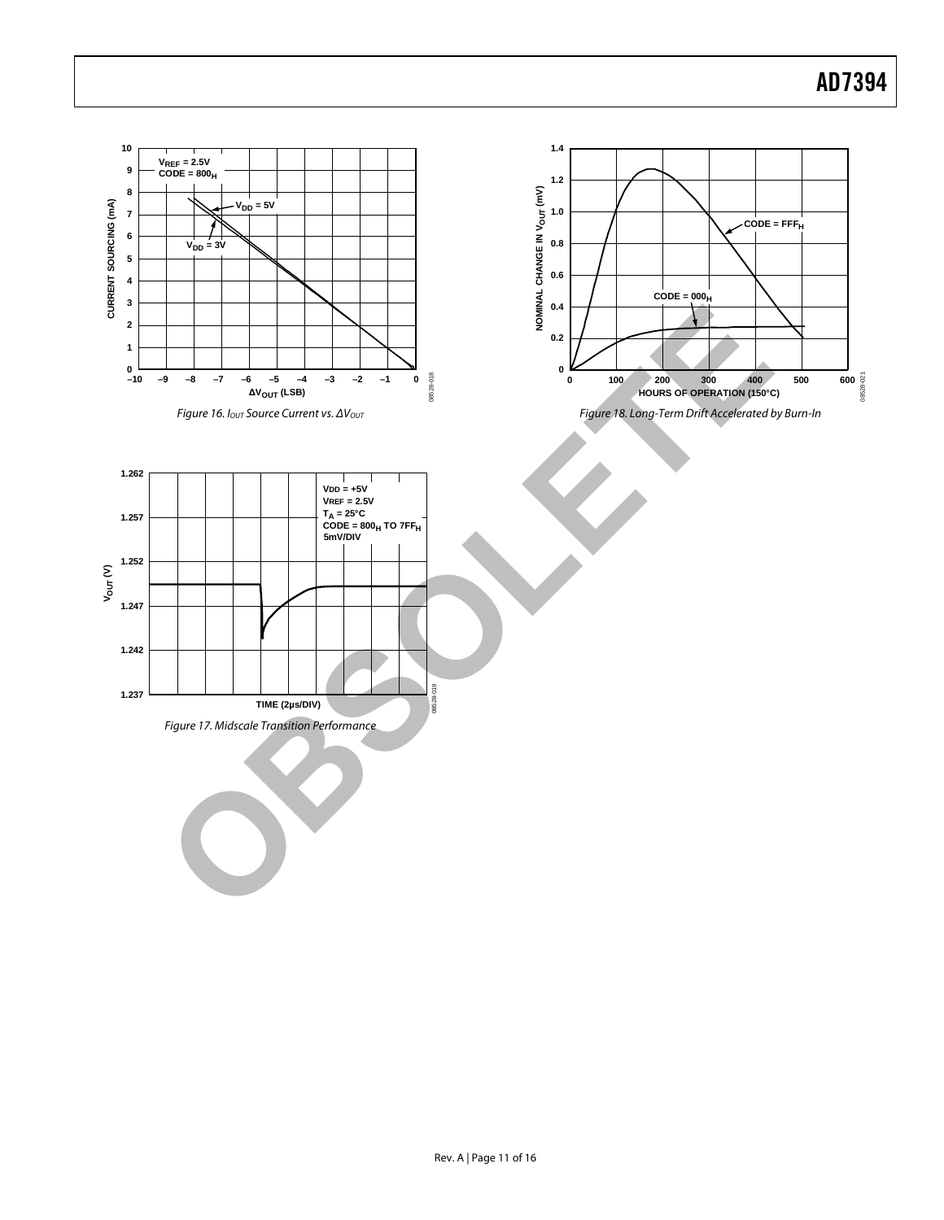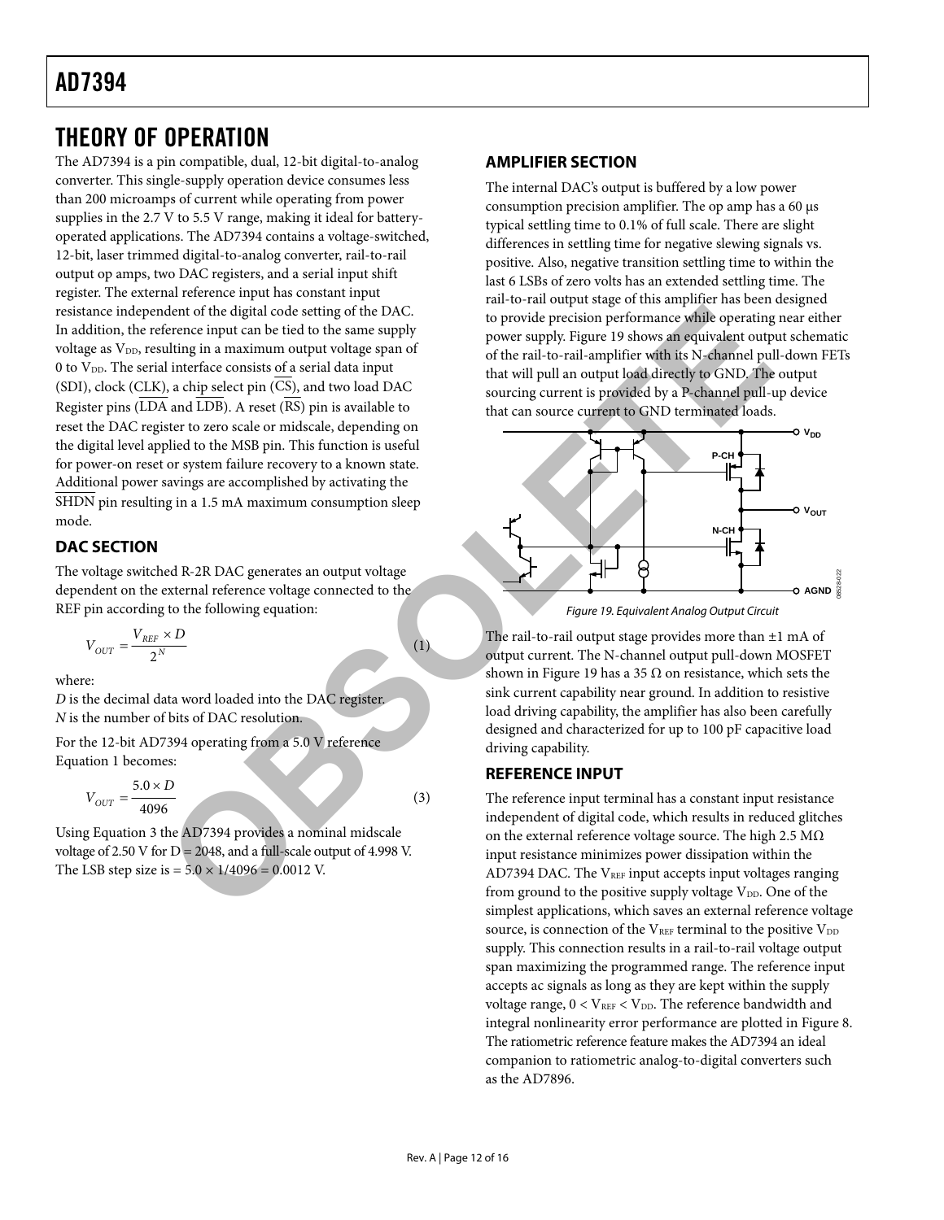# <span id="page-11-1"></span><span id="page-11-0"></span>THEORY OF OPERATION

The AD7394 is a pin compatible, dual, 12-bit digital-to-analog converter. This single-supply operation device consumes less than 200 microamps of current while operating from power supplies in the 2.7 V to 5.5 V range, making it ideal for batteryoperated applications. The AD7394 contains a voltage-switched, 12-bit, laser trimmed digital-to-analog converter, rail-to-rail output op amps, two DAC registers, and a serial input shift register. The external reference input has constant input resistance independent of the digital code setting of the DAC. In addition, the reference input can be tied to the same supply voltage as V<sub>DD</sub>, resulting in a maximum output voltage span of 0 to  $V_{DD}$ . The serial interface consists of a serial data input (SDI), clock (CLK), a chip select pin (CS), and two load DAC Register pins ( $\overline{\text{LDA}}$  and  $\overline{\text{LDB}}$ ). A reset ( $\overline{\text{RS}}$ ) pin is available to reset the DAC register to zero scale or midscale, depending on the digital level applied to the MSB pin. This function is useful for power-on reset or system failure recovery to a known state. Additional power savings are accomplished by activating the SHDN pin resulting in a 1.5 mA maximum consumption sleep mode. elect of the digital code setting of the DAC.<br>
The method of setting of the DAC.<br>
Therefore, a maximum output voltage span of<br>
Setting in a maximum output voltage span of<br>
ultimating in a maximum output voltage span of<br>
ul

### **DAC SECTION**

<span id="page-11-2"></span>The voltage switched R-2R DAC generates an output voltage dependent on the external reference voltage connected to the REF pin according to the following equation:

$$
V_{OUT} = \frac{V_{REF} \times D}{2^N}
$$
 (1)

where:

*D* is the decimal data word loaded into the DAC register. *N* is the number of bits of DAC resolution.

For the 12-bit AD7394 operating from a 5.0 V reference Equation 1 becomes:

$$
V_{OUT} = \frac{5.0 \times D}{4096} \tag{3}
$$

Using Equation 3 the AD7394 provides a nominal midscale voltage of 2.50 V for  $D = 2048$ , and a full-scale output of 4.998 V. The LSB step size is  $= 5.0 \times 1/4096 = 0.0012$  V.

### **AMPLIFIER SECTION**

The internal DAC's output is buffered by a low power consumption precision amplifier. The op amp has a 60 μs typical settling time to 0.1% of full scale. There are slight differences in settling time for negative slewing signals vs. positive. Also, negative transition settling time to within the last 6 LSBs of zero volts has an extended settling time. The rail-to-rail output stage of this amplifier has been designed to provide precision performance while operating near either power supply. Figure 19 shows an equivalent output schematic of the rail-to-rail-amplifier with its N-channel pull-down FETs that will pull an output load directly to GND. The output sourcing current is provided by a P-channel pull-up device that can source current to GND terminated loads.



Figure 19. Equivalent Analog Output Circuit

The rail-to-rail output stage provides more than  $\pm 1$  mA of output current. The N-channel output pull-down MOSFET shown in Figure 19 has a 35  $\Omega$  on resistance, which sets the sink current capability near ground. In addition to resistive load driving capability, the amplifier has also been carefully designed and characterized for up to 100 pF capacitive load driving capability.

### **REFERENCE INPUT**

The reference input terminal has a constant input resistance independent of digital code, which results in reduced glitches on the external reference voltage source. The high 2.5 MΩ input resistance minimizes power dissipation within the AD7394 DAC. The  $V_{REF}$  input accepts input voltages ranging from ground to the positive supply voltage  $V_{DD}$ . One of the simplest applications, which saves an external reference voltage source, is connection of the  $V_{REF}$  terminal to the positive  $V_{DD}$ supply. This connection results in a rail-to-rail voltage output span maximizing the programmed range. The reference input accepts ac signals as long as they are kept within the supply voltage range,  $0 < V_{REF} < V_{DD}$ . The reference bandwidth and integral nonlinearity error performance are plotted in [Figure 8](#page-8-1). The ratiometric reference feature makes the AD7394 an ideal companion to ratiometric analog-to-digital converters such as the AD7896.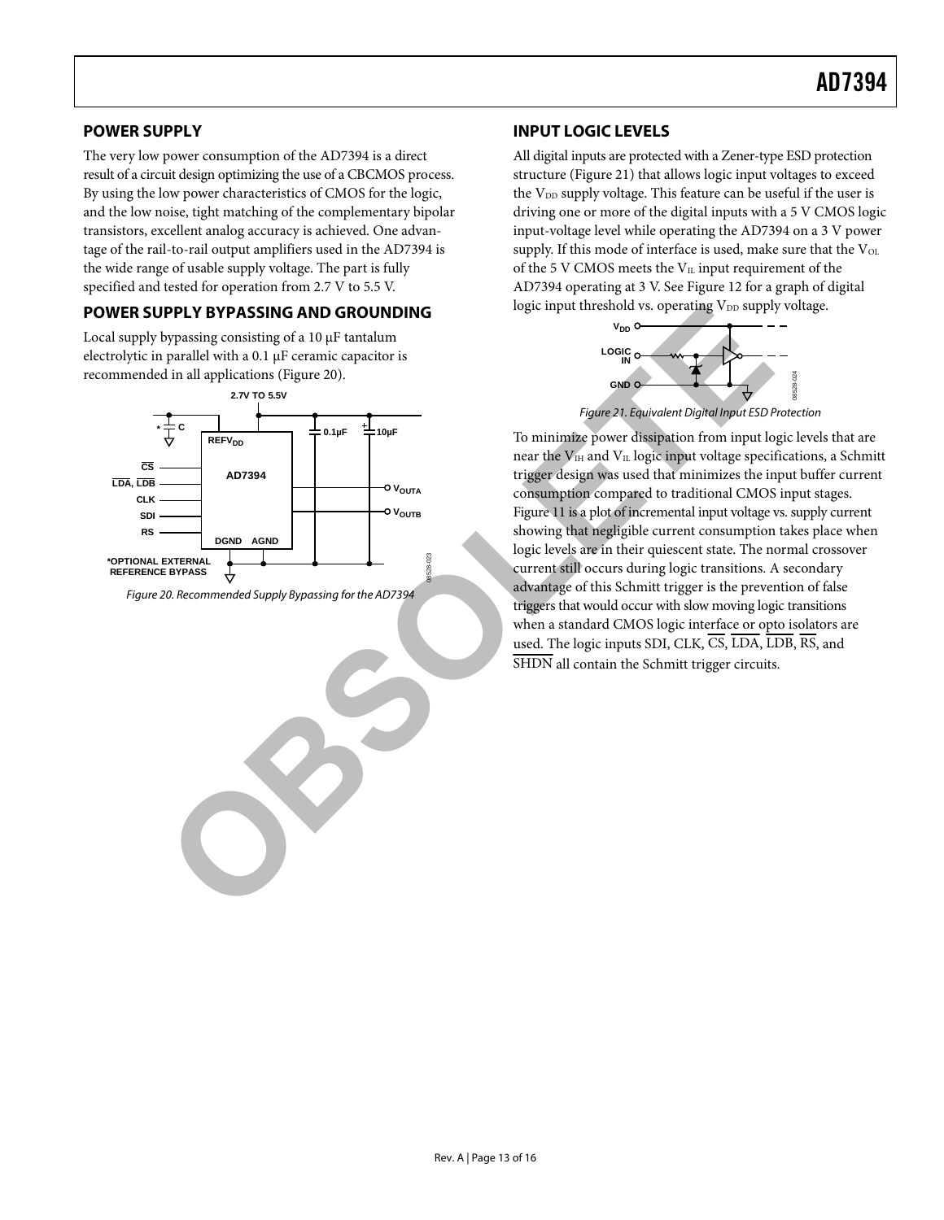### <span id="page-12-1"></span><span id="page-12-0"></span>**POWER SUPPLY**

The very low power consumption of the AD7394 is a direct result of a circuit design optimizing the use of a CBCMOS process. By using the low power characteristics of CMOS for the logic, and the low noise, tight matching of the complementary bipolar transistors, excellent analog accuracy is achieved. One advantage of the rail-to-rail output amplifiers used in the AD7394 is the wide range of usable supply voltage. The part is fully specified and tested for operation from 2.7 V to 5.5 V.

#### **POWER SUPPLY BYPASSING AND GROUNDING**

Local supply bypassing consisting of a 10 μF tantalum electrolytic in parallel with a 0.1 μF ceramic capacitor is recommended in all applications (Figure 20).

<span id="page-12-3"></span>

<span id="page-12-2"></span>Figure 20. Recommended Supply Bypassing for the AD7394

### **INPUT LOGIC LEVELS**

All digital inputs are protected with a Zener-type ESD protection structure ([Figure 21](#page-12-3)) that allows logic input voltages to exceed the V<sub>DD</sub> supply voltage. This feature can be useful if the user is driving one or more of the digital inputs with a 5 V CMOS logic input-voltage level while operating the AD7394 on a 3 V power supply. If this mode of interface is used, make sure that the  $V_{OL}$ of the 5 V CMOS meets the  $V_{IL}$  input requirement of the AD7394 operating at 3 V. See [Figure 12](#page-9-0) for a graph of digital logic input threshold vs. operating V<sub>DD</sub> supply voltage.



Figure 21. Equivalent Digital Input ESD Protection

To minimize power dissipation from input logic levels that are near the  $V_{\text{IH}}$  and  $V_{\text{IL}}$  logic input voltage specifications, a Schmitt trigger design was used that minimizes the input buffer current consumption compared to traditional CMOS input stages. Figure 11 is a plot of incremental input voltage vs. supply current showing that negligible current consumption takes place when logic levels are in their quiescent state. The normal crossover current still occurs during logic transitions. A secondary advantage of this Schmitt trigger is the prevention of false triggers that would occur with slow moving logic transitions when a standard CMOS logic interface or opto isolators are used. The logic inputs SDI, CLK, CS, LDA, LDB, RS, and SHDN all contain the Schmitt trigger circuits. **OBSOLUTIFY BYPASSING AND GROUNDING**<br>
Sugger upont threshold vois operating Vira supply<br>
and let principle intervals<br>
and and applications (Figure 20).<br>
The strategy of the ADT394<br>
The strategy of the ADT394<br>
ADT394<br>
ADT39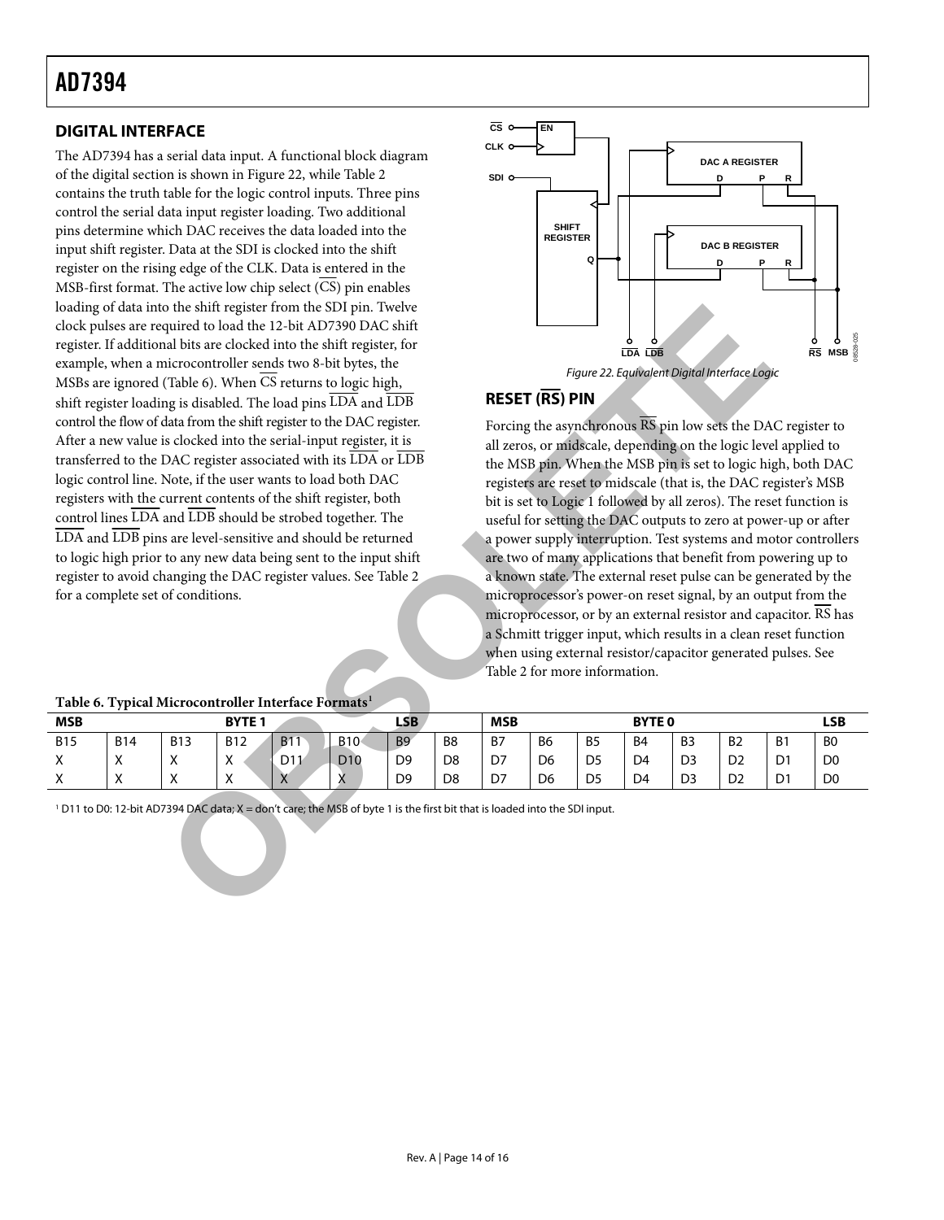### <span id="page-13-1"></span><span id="page-13-0"></span>**DIGITAL INTERFACE**

<span id="page-13-2"></span>The AD7394 has a serial data input. A functional block diagram of the digital section is shown in [Figure 22](#page-13-2), while [Table 2](#page-5-0) contains the truth table for the logic control inputs. Three pins control the serial data input register loading. Two additional pins determine which DAC receives the data loaded into the input shift register. Data at the SDI is clocked into the shift register on the rising edge of the CLK. Data is entered in the MSB-first format. The active low chip select  $(\overline{CS})$  pin enables loading of data into the shift register from the SDI pin. Twelve clock pulses are required to load the 12-bit AD7390 DAC shift register. If additional bits are clocked into the shift register, for example, when a microcontroller sends two 8-bit bytes, the MSBs are ignored (Table 6). When  $\overline{\text{CS}}$  returns to logic high, shift register loading is disabled. The load pins LDA and LDB control the flow of data from the shift register to the DAC register. After a new value is clocked into the serial-input register, it is transferred to the DAC register associated with its LDA or LDB logic control line. Note, if the user wants to load both DAC registers with the current contents of the shift register, both control lines  $\overline{\text{LDA}}$  and  $\overline{\text{LDB}}$  should be strobed together. The LDA and LDB pins are level-sensitive and should be returned to logic high prior to any new data being sent to the input shift register to avoid changing the DAC register values. See Table 2 for a complete set of conditions. o the shift register form the SDI pin. Twelve the SDE and Library and all this are clocked into the shift register. (Table 6). When CS returns to logic high,<br>
quired to load the 12-bit AD7390 DAC shift<br>
cristocontroller se



### **RESET (RS) PIN**

Forcing the asynchronous  $\overline{RS}$  pin low sets the DAC register to all zeros, or midscale, depending on the logic level applied to the MSB pin. When the MSB pin is set to logic high, both DAC registers are reset to midscale (that is, the DAC register's MSB bit is set to Logic 1 followed by all zeros). The reset function is useful for setting the DAC outputs to zero at power-up or after a power supply interruption. Test systems and motor controllers are two of many applications that benefit from powering up to a known state. The external reset pulse can be generated by the microprocessor's power-on reset signal, by an output from the microprocessor, or by an external resistor and capacitor. RS has a Schmitt trigger input, which results in a clean reset function when using external resistor/capacitor generated pulses. See Table 2 for more information.

| ------                     |                        |                           |                           |                 | ----------       |                |                |    |                |                |                |                |                |                |                |
|----------------------------|------------------------|---------------------------|---------------------------|-----------------|------------------|----------------|----------------|----|----------------|----------------|----------------|----------------|----------------|----------------|----------------|
| <b>MSB</b><br><b>BYTE1</b> |                        |                           |                           |                 | <b>LSB</b>       |                | <b>MSB</b>     |    |                | <b>BYTE 0</b>  |                |                |                | LSB            |                |
| <b>B15</b>                 | <b>B14</b>             | <b>B13</b>                | <b>B12</b>                | <b>B11</b>      | B10 <sub>1</sub> | B <sub>9</sub> | B <sub>8</sub> | B7 | B <sub>6</sub> | B <sub>5</sub> | B <sub>4</sub> | B <sub>3</sub> | B <sub>2</sub> | B <sub>1</sub> | B <sub>0</sub> |
| $\checkmark$<br>v          | $\lambda$<br>$\lambda$ | $\mathbf{v}$<br>$\lambda$ | $\checkmark$<br>$\lambda$ | D <sub>11</sub> | D <sub>10</sub>  | D <sub>9</sub> | D <sub>8</sub> | D7 | D <sub>6</sub> | D <sub>5</sub> | D <sub>4</sub> | D <sub>3</sub> | D <sub>2</sub> | D1             | D <sub>0</sub> |
| $\checkmark$<br>$\sim$     | $\lambda$<br>$\lambda$ | $\lambda$                 | $\checkmark$<br>$\lambda$ | $\Lambda$       | v<br>$\Lambda$   | D <sub>9</sub> | D <sub>8</sub> | D7 | D <sub>6</sub> | D <sub>5</sub> | D <sub>4</sub> | D <sub>3</sub> | D <sub>2</sub> | D <sub>1</sub> | D <sub>0</sub> |

**Table 6. Typical Microcontroller Interface Formats1**

<sup>1</sup> D11 to D0: 12-bit AD7394 DAC data; X = don't care; the MSB of byte 1 is the first bit that is loaded into the SDI input.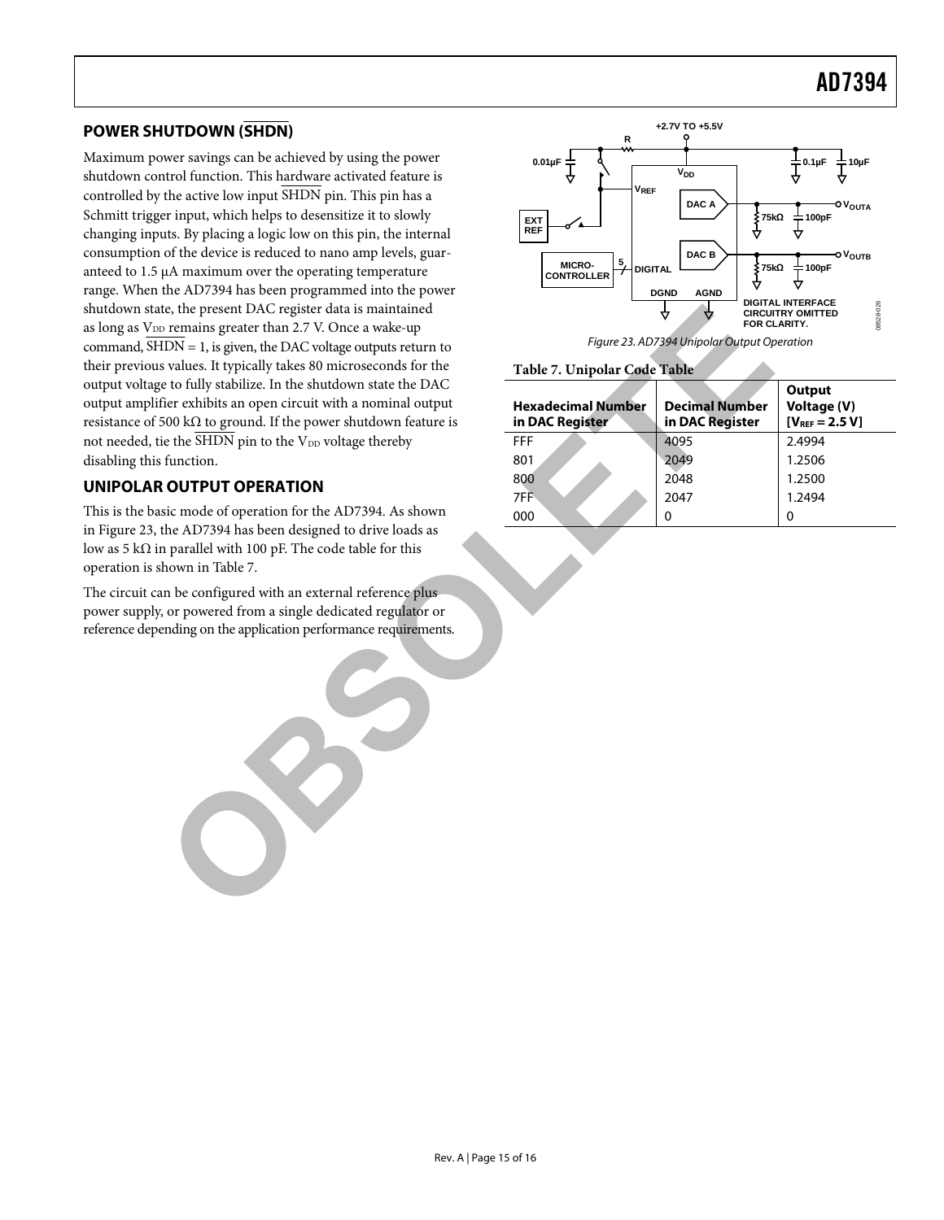### <span id="page-14-1"></span><span id="page-14-0"></span>**POWER SHUTDOWN (SHDN)**

Maximum power savings can be achieved by using the power shutdown control function. This hardware activated feature is controlled by the active low input SHDN pin. This pin has a Schmitt trigger input, which helps to desensitize it to slowly changing inputs. By placing a logic low on this pin, the internal consumption of the device is reduced to nano amp levels, guaranteed to 1.5 μA maximum over the operating temperature range. When the AD7394 has been programmed into the power shutdown state, the present DAC register data is maintained as long as  $V_{DD}$  remains greater than 2.7 V. Once a wake-up command,  $\overline{\text{SHDN}} = 1$ , is given, the DAC voltage outputs return to their previous values. It typically takes 80 microseconds for the output voltage to fully stabilize. In the shutdown state the DAC output amplifier exhibits an open circuit with a nominal output resistance of 500 k $\Omega$  to ground. If the power shutdown feature is not needed, tie the  $\overline{\text{SHDN}}$  pin to the V<sub>DD</sub> voltage thereby disabling this function. (e, the present DAC register data is maintained that is maintained that is maintained that typical and sole of the specifically takes 80 microsconds for the collapse output seturn to reduce the typical bases of the to ful

### <span id="page-14-2"></span>**UNIPOLAR OUTPUT OPERATION**

This is the basic mode of operation for the AD7394. As shown in [Figure 23](#page-14-2), the AD7394 has been designed to drive loads as low as 5 kΩ in parallel with 100 pF. The code table for this operation is shown in Table 7.

The circuit can be configured with an external reference plus power supply, or powered from a single dedicated regulator or reference depending on the application performance requirements.



Figure 23. AD7394 Unipolar Output Operation

#### **Table 7. Unipolar Code Table**

| <b>Hexadecimal Number</b><br>in DAC Register | <b>Decimal Number</b><br>in DAC Register | Output<br>Voltage (V)<br>$[V_{REF} = 2.5 V]$ |
|----------------------------------------------|------------------------------------------|----------------------------------------------|
| <b>FFF</b>                                   | 4095                                     | 2.4994                                       |
| 801                                          | 2049                                     | 1.2506                                       |
| 800                                          | 2048                                     | 1.2500                                       |
| 7FF                                          | 2047                                     | 1.2494                                       |
| 000                                          | O                                        | 0                                            |